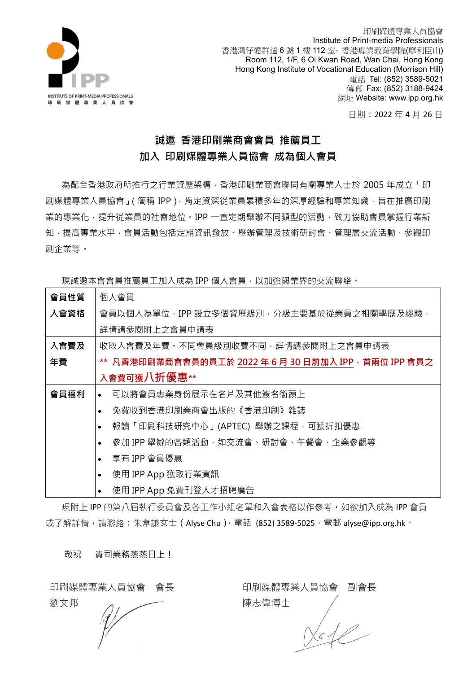

 香港灣仔愛群道 6 號 1 樓 112 室- 香港專業教育學院(摩利臣山) 印刷媒體專業人員協會 Institute of Print-media Professionals Room 112, 1/F, 6 Oi Kwan Road, Wan Chai, Hong Kong Hong Kong Institute of Vocational Education (Morrison Hill) 電話 Tel: (852) 3589-5021 傳真 Fax: (852) 3188-9424 網址 Website: [www.ipp.org.hk](http://www.ipp.org.hk/)

日期:2022 年 4 月 26 日

# **誠邀 香港印刷業商會會員 推薦員工 加入 印刷媒體專業人員協會 成為個人會員**

為配合香港政府所推行之行業資歷架構,香港印刷業商會聯同有關專業人士於 2005 年成立「印 刷媒體專業人員協會」(簡稱 IPP ), 肯定資深從業員累積多年的深厚經驗和專業知識, 旨在推廣印刷 業的專業化,提升從業員的社會地位。IPP 一直定期舉辦不同類型的活動,致力協助會員掌握行業新 知,提高專業水平,會員活動包括定期資訊發放、舉辦管理及技術研討會、管理層交流活動、參觀印 刷企業等。

現誠激本會會員推薦員工加入成為 IPP 個人會員, 以加強與業界的交流聯絡。

| 會員性質 | 個人會員                                                   |
|------|--------------------------------------------------------|
| 入會資格 | 會員以個人為單位,IPP 設立多個資歷級別,分級主要基於從業員之相關學歷及經驗,               |
|      | 詳情請參閱附上之會員申請表                                          |
| 入會費及 | 收取入會費及年費。不同會員級別收費不同,詳情請參閱附上之會員申請表                      |
| 年費   | ** 凡香港印刷業商會會員的員工於 2022 年 6 月 30 日前加入 IPP · 首兩位 IPP 會員之 |
|      | 入會費可獲八折優惠**                                            |
| 會員福利 | 可以將會員專業身份展示在名片及其他簽名銜頭上<br>$\bullet$                    |
|      | 免費收到香港印刷業商會出版的《香港印刷》雜誌<br>$\bullet$                    |
|      | 報讀「印刷科技研究中心」(APTEC) 舉辦之課程‧可獲折扣優惠<br>$\bullet$          |
|      | 參加 IPP 舉辦的各類活動,如交流會、研討會、午餐會、企業參觀等<br>$\bullet$         |
|      | 享有 IPP 會員優惠<br>$\bullet$                               |
|      | 使用 IPP App 獲取行業資訊<br>$\bullet$                         |
|      | 使用 IPP App 免費刊登人才招聘廣告                                  |

現附上 IPP 的第八屆執行委員會及各工作小組名單和入會表格以作參考,如欲加入成為 IPP 會員 或了解詳情,請聯絡:朱韋謙女士 (Alyse Chu ), 電話 (852) 3589-5025, 電郵 alyse@ipp.org.hk。

敬祝 貴司業務蒸蒸日上!

| 印刷媒體專業人員協會 | 會長 |
|------------|----|
| 劉文邦        |    |

印刷媒體專業人員協會 副會長 陳志偉博士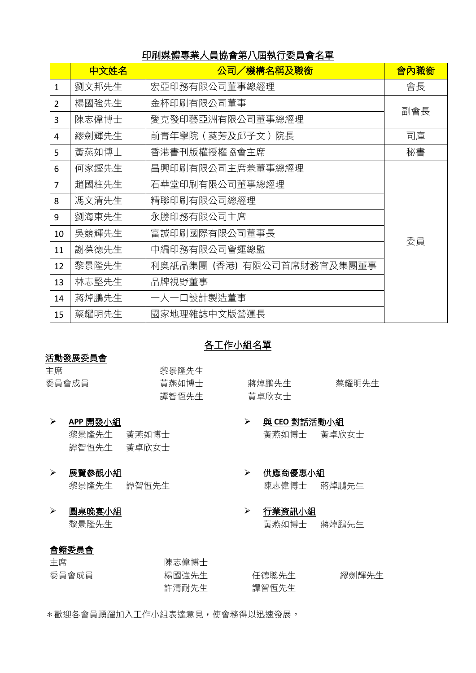# 印刷媒體專業人員協會第八屆執行委員會名單

|                | 中文姓名                   | 公司/機構名稱及職銜                 | 會內職銜 |
|----------------|------------------------|----------------------------|------|
| $\mathbf{1}$   | 劉文邦先生                  | 宏亞印務有限公司董事總經理              | 會長   |
| $\overline{2}$ | 楊國強先生                  | 金杯印刷有限公司董事                 | 副會長  |
| 3              | 陳志偉博士                  | 愛克發印藝亞洲有限公司董事總經理           |      |
| 4              | 繆劍輝先生                  | 前青年學院(葵芳及邱子文)院長            | 司庫   |
| 5              | 黃燕如博士                  | 香港書刊版權授權協會主席               | 秘書   |
| 6              | 何家鏗先生                  | 昌興印刷有限公司主席兼董事總經理           |      |
| 7              | 趙國柱先生                  | 石華堂印刷有限公司董事總經理             |      |
| 8              | 馮文清先生                  | 精聯印刷有限公司總經理                |      |
| 9              | 劉海東先生                  | 永勝印務有限公司主席                 |      |
| 10             | 吳競輝先生<br>富誠印刷國際有限公司董事長 |                            | 委員   |
| 11             | 謝葆德先生<br>中編印務有限公司營運總監  |                            |      |
| 12             | 黎景隆先生                  | 利奧紙品集團 (香港) 有限公司首席財務官及集團董事 |      |
| 13             | 林志堅先生                  | 品牌視野董事                     |      |
| 14             | 蔣焯鵬先生                  | 一人一口設計製造董事                 |      |
| 15             | 蔡耀明先生                  | 國家地理雜誌中文版營運長               |      |

## 各工作小組名單

### 活動發展委員會

| 主席    | 黎景降先生          |                |       |
|-------|----------------|----------------|-------|
| 委員會成員 | 黃燕如博士<br>譚智恒先生 | 蔣焯鵬先生<br>黃卓欣女士 | 蔡耀明先生 |
|       |                |                |       |

- 與 **CEO** 對話活動小組 黃燕如博士 黃卓欣女士
	- > 供應商優惠小組 陳志偉博士 蔣焯鵬先生
	- 行業資訊小組 黃燕如博士 蔣焯鵬先生

> 圓桌晚宴小組 黎景隆先生

展覽參觀小組

**APP** 開發小組

黎景隆先生 黃燕如博士 譚智恆先生 黃卓欣女士

黎景隆先生 譚智恆先生

### 會籍委員會

| 主席    | 陳志偉博士 |       |       |
|-------|-------|-------|-------|
| 委員會成員 | 楊國強先生 | 任德聰先生 | 繆劍輝先生 |
|       | 許清耐先生 | 譚智恒先生 |       |

\*歡迎各會員踴躍加入工作小組表達意見,使會務得以迅速發展。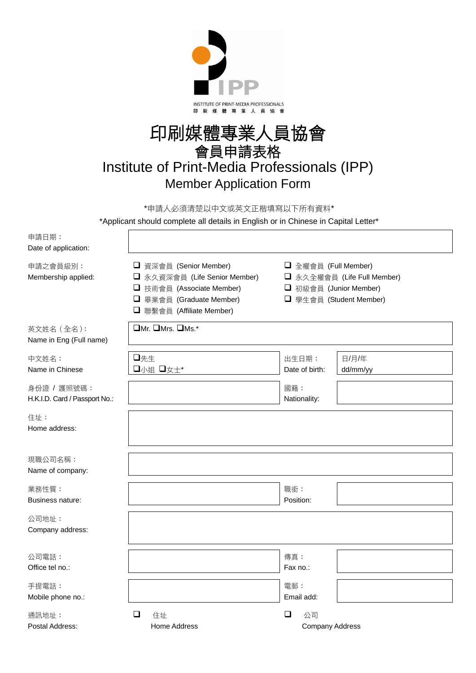

# 印刷媒體專業人員協會 會員申請表格 Institute of Print-Media Professionals (IPP) Member Application Form

\*申請人必須清楚以中文或英文正楷填寫以下所有資料\*

\*Applicant should complete all details in English or in Chinese in Capital Letter\*

| 申請日期:<br>Date of application:                |                                                                                                                                               |                                        |                                                                                                          |  |
|----------------------------------------------|-----------------------------------------------------------------------------------------------------------------------------------------------|----------------------------------------|----------------------------------------------------------------------------------------------------------|--|
| 申請之會員級別:<br>Membership applied:              | □ 資深會員 (Senior Member)<br>□ 永久資深會員 (Life Senior Member)<br>□ 技術會員 (Associate Member)<br>□ 畢業會員 (Graduate Member)<br>□ 聯繫會員 (Affiliate Member) |                                        | □ 全權會員 (Full Member)<br>□ 永久全權會員 (Life Full Member)<br>□ 初級會員 (Junior Member)<br>□ 學生會員 (Student Member) |  |
| 英文姓名 (全名):<br>Name in Eng (Full name)        | OMr. OMrs. OMs.*                                                                                                                              |                                        |                                                                                                          |  |
| 中文姓名:<br>Name in Chinese                     | 口先生<br>口小姐 口女士*                                                                                                                               | 出生日期:<br>Date of birth:                | 日/月/年<br>dd/mm/yy                                                                                        |  |
| 身份證 / 護照號碼:<br>H.K.I.D. Card / Passport No.: |                                                                                                                                               | 國籍:<br>Nationality:                    |                                                                                                          |  |
| 住址:<br>Home address:                         |                                                                                                                                               |                                        |                                                                                                          |  |
| 現職公司名稱:<br>Name of company:                  |                                                                                                                                               |                                        |                                                                                                          |  |
| 業務性質:<br>Business nature:                    |                                                                                                                                               | 職銜:<br>Position:                       |                                                                                                          |  |
| 公司地址:<br>Company address:                    |                                                                                                                                               |                                        |                                                                                                          |  |
| 公司電話:<br>Office tel no.:                     |                                                                                                                                               | 傳真:<br>Fax no.:                        |                                                                                                          |  |
| 手提電話:<br>Mobile phone no.:                   |                                                                                                                                               | 電郵:<br>Email add:                      |                                                                                                          |  |
| 通訊地址:<br>Postal Address:                     | ❏<br>住址<br>Home Address                                                                                                                       | $\Box$<br>公司<br><b>Company Address</b> |                                                                                                          |  |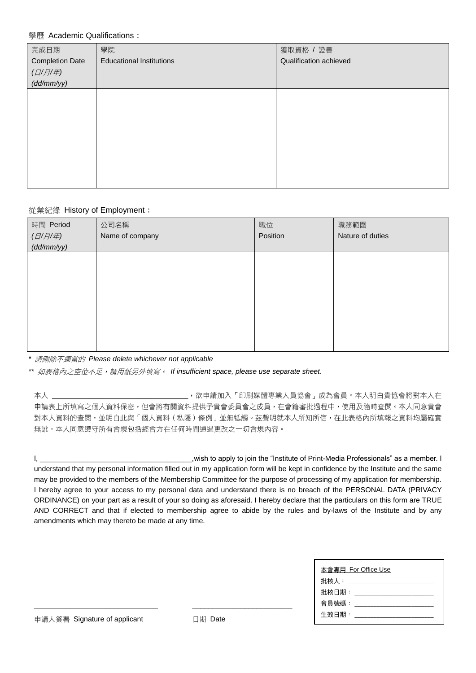#### 學歷 Academic Qualifications:

| 完成日期                   | 學院                              | 獲取資格 / 證書              |
|------------------------|---------------------------------|------------------------|
| <b>Completion Date</b> | <b>Educational Institutions</b> | Qualification achieved |
| (日/月/年)<br>(dd/mm/yy)  |                                 |                        |
|                        |                                 |                        |
|                        |                                 |                        |
|                        |                                 |                        |
|                        |                                 |                        |
|                        |                                 |                        |
|                        |                                 |                        |
|                        |                                 |                        |
|                        |                                 |                        |
|                        |                                 |                        |
|                        |                                 |                        |

### 從業紀錄 History of Employment:

| 時間 Period<br>(日/月/年)<br>(dd/mm/yy) | 公司名稱<br>Name of company | 職位<br>Position | 職務範圍<br>Nature of duties |
|------------------------------------|-------------------------|----------------|--------------------------|
|                                    |                         |                |                          |
|                                    |                         |                |                          |
|                                    |                         |                |                          |
|                                    |                         |                |                          |

*\** 請刪除不適當的 *Please delete whichever not applicable*

*\*\** 如表格內之空位不足,請用紙另外填寫。 *If insufficient space, please use separate sheet.*

本人 \_\_\_\_\_\_\_\_\_\_\_\_\_\_\_\_\_\_\_\_\_\_\_\_\_\_\_\_\_\_\_\_\_\_,欲申請加入「印刷媒體專業人員協會」成為會員。本人明白貴協會將對本人在 申請表上所填寫之個人資料保密,但會將有關資料提供予貴會委員會之成員,在會籍審批過程中,使用及隨時查閱。本人同意貴會 對本人資料的查閱,並明白此與「個人資料(私隱)條例」並無牴觸。茲聲明就本人所知所信,在此表格內所填報之資料均屬確實 無訛,本人同意遵守所有會規包括經會方在任何時間通過更改之一切會規內容。

I, \_\_\_\_\_\_\_\_\_\_\_\_\_\_\_\_\_\_\_\_\_\_\_\_\_\_\_\_\_\_\_\_\_\_\_\_\_\_,wish to apply to join the "Institute of Print-Media Professionals" as a member. I understand that my personal information filled out in my application form will be kept in confidence by the Institute and the same may be provided to the members of the Membership Committee for the purpose of processing of my application for membership. I hereby agree to your access to my personal data and understand there is no breach of the PERSONAL DATA (PRIVACY ORDINANCE) on your part as a result of your so doing as aforesaid. I hereby declare that the particulars on this form are TRUE AND CORRECT and that if elected to membership agree to abide by the rules and by-laws of the Institute and by any amendments which may thereto be made at any time.

| 本會專用 For Office Use  |
|----------------------|
| 批核人: _______________ |
| 批核日期: しんしょう          |
| 會員號碼:                |
| 生效日期:                |
|                      |

申請人簽署 Signature of applicant <br>
<br>
□

\_\_\_\_\_\_\_\_\_\_\_\_\_\_\_\_\_\_\_\_\_\_\_\_\_\_\_\_\_\_\_ \_\_\_\_\_\_\_\_\_\_\_\_\_\_\_\_\_\_\_\_\_\_\_\_\_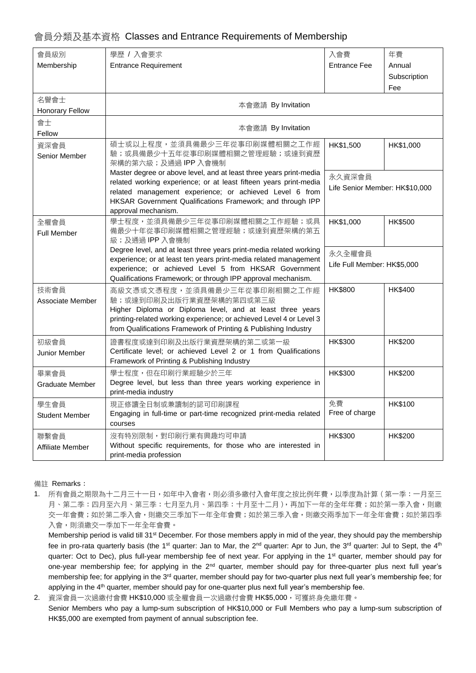會員分類及基本資格 Classes and Entrance Requirements of Membership

| 會員級別<br>Membership             | 學歷 / 入會要求<br><b>Entrance Requirement</b>                                                                                                                                                                                                                                                | 入會費<br><b>Entrance Fee</b>               | 年費<br>Annual<br>Subscription<br>Fee |
|--------------------------------|-----------------------------------------------------------------------------------------------------------------------------------------------------------------------------------------------------------------------------------------------------------------------------------------|------------------------------------------|-------------------------------------|
| 名譽會士<br><b>Honorary Fellow</b> | 本會邀請 By Invitation                                                                                                                                                                                                                                                                      |                                          |                                     |
| 會士<br>Fellow                   | 本會邀請 By Invitation                                                                                                                                                                                                                                                                      |                                          |                                     |
| 資深會員<br>Senior Member          | 碩士或以上程度,並須具備最少三年從事印刷媒體相關之工作經<br>驗;或具備最少十五年從事印刷媒體相關之管理經驗;或達到資歷<br>架構的第六級;及通過 IPP 入會機制                                                                                                                                                                                                    | HK\$1,500                                | HK\$1,000                           |
|                                | Master degree or above level, and at least three years print-media<br>related working experience; or at least fifteen years print-media<br>related management experience; or achieved Level 6 from<br>HKSAR Government Qualifications Framework; and through IPP<br>approval mechanism. | 永久資深會員<br>Life Senior Member: HK\$10,000 |                                     |
| 全權會員<br><b>Full Member</b>     | 學士程度,並須具備最少三年從事印刷媒體相關之工作經驗;或具<br>備最少十年從事印刷媒體相關之管理經驗;或達到資歷架構的第五<br>級;及通過IPP入會機制                                                                                                                                                                                                          | HK\$1,000                                | HK\$500                             |
|                                | Degree level, and at least three years print-media related working<br>experience; or at least ten years print-media related management<br>experience; or achieved Level 5 from HKSAR Government<br>Qualifications Framework; or through IPP approval mechanism.                         | 永久全權會員<br>Life Full Member: HK\$5,000    |                                     |
| 技術會員<br>Associate Member       | 高級文憑或文憑程度,並須具備最少三年從事印刷相關之工作經<br>驗;或達到印刷及出版行業資歷架構的第四或第三級<br>Higher Diploma or Diploma level, and at least three years<br>printing-related working experience; or achieved Level 4 or Level 3<br>from Qualifications Framework of Printing & Publishing Industry                          | HK\$800                                  | HK\$400                             |
| 初級會員<br>Junior Member          | 證書程度或達到印刷及出版行業資歷架構的第二或第一級<br>Certificate level; or achieved Level 2 or 1 from Qualifications<br>Framework of Printing & Publishing Industry                                                                                                                                             | HK\$300                                  | HK\$200                             |
| 畢業會員<br><b>Graduate Member</b> | 學士程度,但在印刷行業經驗少於三年<br>Degree level, but less than three years working experience in<br>print-media industry                                                                                                                                                                              | HK\$300                                  | HK\$200                             |
| 學生會員<br><b>Student Member</b>  | 現正修讀全日制或兼讀制的認可印刷課程<br>Engaging in full-time or part-time recognized print-media related<br>courses                                                                                                                                                                                      | 免費<br>Free of charge                     | HK\$100                             |
| 聯繫會員<br>Affiliate Member       | 沒有特別限制,對印刷行業有興趣均可申請<br>Without specific requirements, for those who are interested in<br>print-media profession                                                                                                                                                                         | HK\$300                                  | HK\$200                             |

備註 Remarks:

1. 所有會員之期限為十二月三十一日,如年中入會者,則必須多繳付入會年度之按比例年費,以季度為計算(第一季:一月至三 月、第二季:四月至六月、第三季:七月至九月、第四季:十月至十二月),再加下一年的全年年費;如於第一季入會,則繳 交一年會費;如於第二季入會,則繳交三季加下一年全年會費;如於第三季入會,則繳交兩季加下一年全年會費;如於第四季 入會,則須繳交一季加下一年全年會費。

Membership period is valid till 31<sup>st</sup> December. For those members apply in mid of the year, they should pay the membership fee in pro-rata quarterly basis (the 1<sup>st</sup> quarter: Jan to Mar, the 2<sup>nd</sup> quarter: Apr to Jun, the 3<sup>rd</sup> quarter: Jul to Sept, the 4<sup>th</sup> quarter: Oct to Dec), plus full-year membership fee of next year. For applying in the 1<sup>st</sup> quarter, member should pay for one-year membership fee; for applying in the 2<sup>nd</sup> quarter, member should pay for three-quarter plus next full year's membership fee; for applying in the  $3^{rd}$  quarter, member should pay for two-quarter plus next full year's membership fee; for applying in the 4<sup>th</sup> quarter, member should pay for one-quarter plus next full year's membership fee.

2. 資深會員一次過繳付會費 HK\$10,000 或全權會員一次過繳付會費 HK\$5,000,可獲終身免繳年費。 Senior Members who pay a lump-sum subscription of HK\$10,000 or Full Members who pay a lump-sum subscription of HK\$5,000 are exempted from payment of annual subscription fee.